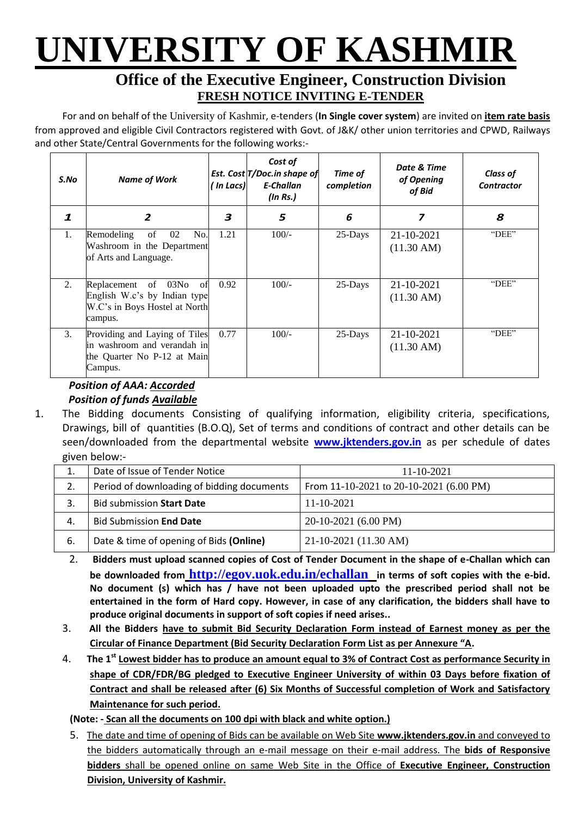# **UNIVERSITY OF KASHMIR**

### **Office of the Executive Engineer, Construction Division FRESH NOTICE INVITING E-TENDER**

For and on behalf of the University of Kashmir, e-tenders (**In Single cover system**) are invited on **item rate basis** from approved and eligible Civil Contractors registered with Govt. of J&K/ other union territories and CPWD, Railways and other State/Central Governments for the following works:-

| S.No             | <b>Name of Work</b>                                                                                    | ' In Lacs) | Cost of<br>Est. Cost T/Doc.in shape of<br>E-Challan<br>$($ In Rs. $)$ | Time of<br>completion | Date & Time<br>of Opening<br>of Bid | <b>Class of</b><br><b>Contractor</b> |
|------------------|--------------------------------------------------------------------------------------------------------|------------|-----------------------------------------------------------------------|-----------------------|-------------------------------------|--------------------------------------|
| 1                | $\overline{\mathbf{z}}$                                                                                | 3          | 5                                                                     | 6                     | 7                                   | 8                                    |
| 1.               | of<br>02<br>No.<br>Remodeling<br>Washroom in the Department<br>of Arts and Language.                   | 1.21       | $100/-$                                                               | 25-Days               | 21-10-2021<br>$(11.30 \text{ AM})$  | "DEE"                                |
| 2.               | Replacement of 03No<br>of<br>English W.c's by Indian type<br>W.C's in Boys Hostel at North<br>campus.  | 0.92       | $100/-$                                                               | $25$ -Days            | 21-10-2021<br>$(11.30 \text{ AM})$  | "DEE"                                |
| $\mathfrak{Z}$ . | Providing and Laying of Tiles<br>in washroom and verandah in<br>the Quarter No P-12 at Main<br>Campus. | 0.77       | $100/-$                                                               | 25-Days               | 21-10-2021<br>$(11.30 \text{ AM})$  | "DEE"                                |

#### *Position of AAA: Accorded Position of funds Available*

1. The Bidding documents Consisting of qualifying information, eligibility criteria, specifications, Drawings, bill of quantities (B.O.Q), Set of terms and conditions of contract and other details can be seen/downloaded from the departmental website **[w](http://www.pmgsytendersjk.gov.in/)ww.jktenders.gov.in** as per schedule of dates given below:-

| ⊥. | Date of Issue of Tender Notice             | $11 - 10 - 2021$                        |
|----|--------------------------------------------|-----------------------------------------|
| 2. | Period of downloading of bidding documents | From 11-10-2021 to 20-10-2021 (6.00 PM) |
|    | Bid submission Start Date                  | $11 - 10 - 2021$                        |
| 4. | <b>Bid Submission End Date</b>             | 20-10-2021 (6.00 PM)                    |
| 6. | Date & time of opening of Bids (Online)    | 21-10-2021 (11.30 AM)                   |

- 2. **Bidders must upload scanned copies of Cost of Tender Document in the shape of e-Challan which can be downloaded from <http://egov.uok.edu.in/echallan> in terms of soft copies with the e-bid. No document (s) which has / have not been uploaded upto the prescribed period shall not be entertained in the form of Hard copy. However, in case of any clarification, the bidders shall have to produce original documents in support of soft copies if need arises..**
- 3. **All the Bidders have to submit Bid Security Declaration Form instead of Earnest money as per the Circular of Finance Department (Bid Security Declaration Form List as per Annexure "A.**
- 4. **The 1st Lowest bidder has to produce an amount equal to 3% of Contract Cost as performance Security in shape of CDR/FDR/BG pledged to Executive Engineer University of within 03 Days before fixation of Contract and shall be released after (6) Six Months of Successful completion of Work and Satisfactory Maintenance for such period.**

**(Note: - Scan all the documents on 100 dpi with black and white option.)**

5. The date and time of opening of Bids can be available on Web Site **[www.jktenders.gov.in](http://www.pmgsytendersjk.gov.in/)** and conveyed to the bidders automatically through an e-mail message on their e-mail address. The **bids of Responsive bidders** shall be opened online on same Web Site in the Office of **Executive Engineer, Construction Division, University of Kashmir.**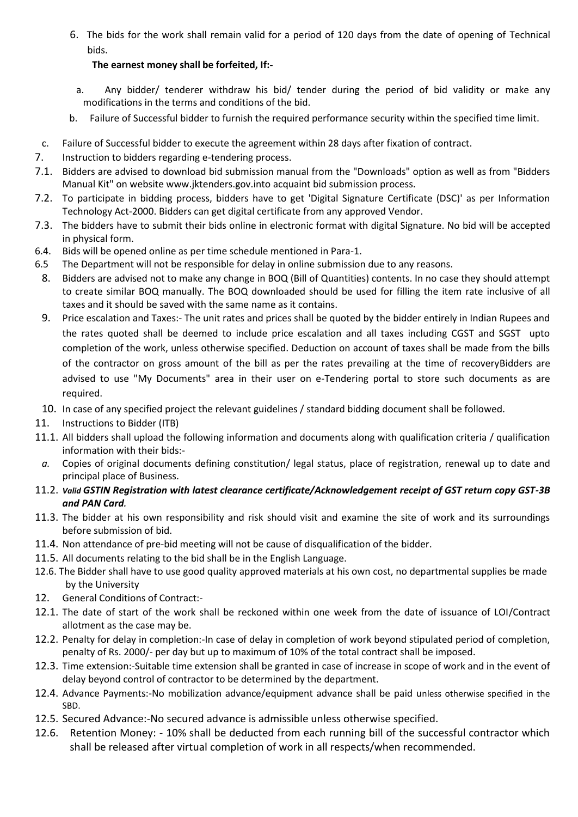6. The bids for the work shall remain valid for a period of 120 days from the date of opening of Technical bids.

#### **The earnest money shall be forfeited, If:-**

- a. Any bidder/ tenderer withdraw his bid/ tender during the period of bid validity or make any modifications in the terms and conditions of the bid.
- b. Failure of Successful bidder to furnish the required performance security within the specified time limit.
- c. Failure of Successful bidder to execute the agreement within 28 days after fixation of contract.
- 7. Instruction to bidders regarding e-tendering process.
- 7.1. Bidders are advised to download bid submission manual from the "Downloads" option as well as from "Bidders Manual Kit" on website [www.jktenders.gov.into](http://www.pmgsytendersjk.gov.into/) acquaint bid submission process.
- 7.2. To participate in bidding process, bidders have to get 'Digital Signature Certificate (DSC)' as per Information Technology Act-2000. Bidders can get digital certificate from any approved Vendor.
- 7.3. The bidders have to submit their bids online in electronic format with digital Signature. No bid will be accepted in physical form.
- 6.4. Bids will be opened online as per time schedule mentioned in Para-1.
- 6.5 The Department will not be responsible for delay in online submission due to any reasons.
- 8. Bidders are advised not to make any change in BOQ (Bill of Quantities) contents. In no case they should attempt to create similar BOQ manually. The BOQ downloaded should be used for filling the item rate inclusive of all taxes and it should be saved with the same name as it contains.
- 9. Price escalation and Taxes:- The unit rates and prices shall be quoted by the bidder entirely in Indian Rupees and the rates quoted shall be deemed to include price escalation and all taxes including CGST and SGST upto completion of the work, unless otherwise specified. Deduction on account of taxes shall be made from the bills of the contractor on gross amount of the bill as per the rates prevailing at the time of recoveryBidders are advised to use "My Documents" area in their user on e-Tendering portal to store such documents as are required.
- 10. In case of any specified project the relevant guidelines / standard bidding document shall be followed.
- 11. Instructions to Bidder (ITB)
- 11.1. All bidders shall upload the following information and documents along with qualification criteria / qualification information with their bids:-
- *a.* Copies of original documents defining constitution/ legal status, place of registration, renewal up to date and principal place of Business.
- 11.2. *Valid GSTIN Registration with latest clearance certificate/Acknowledgement receipt of GST return copy GST-3B and PAN Card.*
- 11.3. The bidder at his own responsibility and risk should visit and examine the site of work and its surroundings before submission of bid.
- 11.4. Non attendance of pre-bid meeting will not be cause of disqualification of the bidder.
- 11.5. All documents relating to the bid shall be in the English Language.
- 12.6. The Bidder shall have to use good quality approved materials at his own cost, no departmental supplies be made by the University
- 12. General Conditions of Contract:-
- 12.1. The date of start of the work shall be reckoned within one week from the date of issuance of LOI/Contract allotment as the case may be.
- 12.2. Penalty for delay in completion:-In case of delay in completion of work beyond stipulated period of completion, penalty of Rs. 2000/- per day but up to maximum of 10% of the total contract shall be imposed.
- 12.3. Time extension:-Suitable time extension shall be granted in case of increase in scope of work and in the event of delay beyond control of contractor to be determined by the department.
- 12.4. Advance Payments:-No mobilization advance/equipment advance shall be paid unless otherwise specified in the SBD.
- 12.5. Secured Advance:-No secured advance is admissible unless otherwise specified.
- 12.6. Retention Money: 10% shall be deducted from each running bill of the successful contractor which shall be released after virtual completion of work in all respects/when recommended.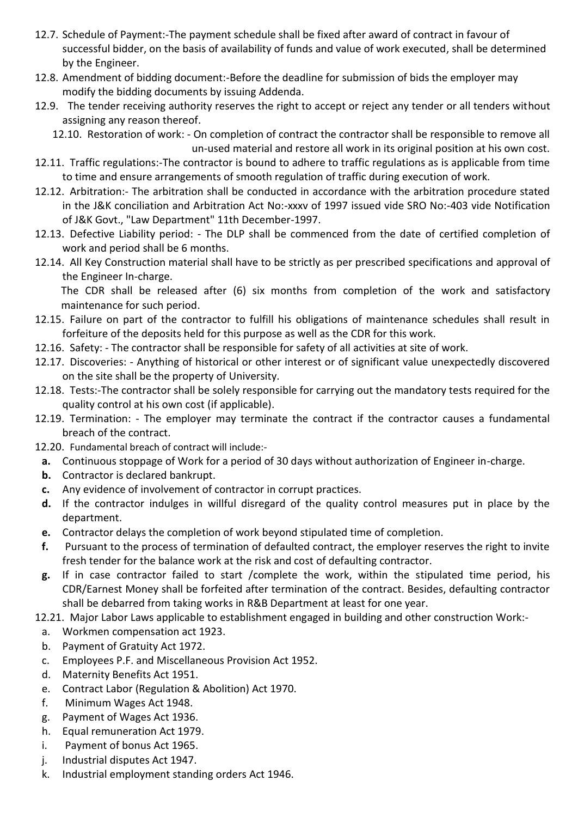- 12.7. Schedule of Payment:-The payment schedule shall be fixed after award of contract in favour of successful bidder, on the basis of availability of funds and value of work executed, shall be determined by the Engineer.
- 12.8. Amendment of bidding document:-Before the deadline for submission of bids the employer may modify the bidding documents by issuing Addenda.
- 12.9. The tender receiving authority reserves the right to accept or reject any tender or all tenders without assigning any reason thereof.

12.10. Restoration of work: - On completion of contract the contractor shall be responsible to remove all un-used material and restore all work in its original position at his own cost.

- 12.11. Traffic regulations:-The contractor is bound to adhere to traffic regulations as is applicable from time to time and ensure arrangements of smooth regulation of traffic during execution of work.
- 12.12. Arbitration:- The arbitration shall be conducted in accordance with the arbitration procedure stated in the J&K conciliation and Arbitration Act No:-xxxv of 1997 issued vide SRO No:-403 vide Notification of J&K Govt., "Law Department" 11th December-1997.
- 12.13. Defective Liability period: The DLP shall be commenced from the date of certified completion of work and period shall be 6 months.
- 12.14. All Key Construction material shall have to be strictly as per prescribed specifications and approval of the Engineer In-charge.

The CDR shall be released after (6) six months from completion of the work and satisfactory maintenance for such period.

- 12.15. Failure on part of the contractor to fulfill his obligations of maintenance schedules shall result in forfeiture of the deposits held for this purpose as well as the CDR for this work.
- 12.16. Safety: The contractor shall be responsible for safety of all activities at site of work.
- 12.17. Discoveries: Anything of historical or other interest or of significant value unexpectedly discovered on the site shall be the property of University.
- 12.18. Tests:-The contractor shall be solely responsible for carrying out the mandatory tests required for the quality control at his own cost (if applicable).
- 12.19. Termination: The employer may terminate the contract if the contractor causes a fundamental breach of the contract.
- 12.20. Fundamental breach of contract will include:
	- **a.** Continuous stoppage of Work for a period of 30 days without authorization of Engineer in-charge.
	- **b.** Contractor is declared bankrupt.
	- **c.** Any evidence of involvement of contractor in corrupt practices.
	- **d.** If the contractor indulges in willful disregard of the quality control measures put in place by the department.
	- **e.** Contractor delays the completion of work beyond stipulated time of completion.
	- **f.** Pursuant to the process of termination of defaulted contract, the employer reserves the right to invite fresh tender for the balance work at the risk and cost of defaulting contractor.
	- **g.** If in case contractor failed to start /complete the work, within the stipulated time period, his CDR/Earnest Money shall be forfeited after termination of the contract. Besides, defaulting contractor shall be debarred from taking works in R&B Department at least for one year.

12.21. Major Labor Laws applicable to establishment engaged in building and other construction Work:-

- a. Workmen compensation act 1923.
- b. Payment of Gratuity Act 1972.
- c. Employees P.F. and Miscellaneous Provision Act 1952.
- d. Maternity Benefits Act 1951.
- e. Contract Labor (Regulation & Abolition) Act 1970.
- f. Minimum Wages Act 1948.
- g. Payment of Wages Act 1936.
- h. Equal remuneration Act 1979.
- i. Payment of bonus Act 1965.
- j. Industrial disputes Act 1947.
- k. Industrial employment standing orders Act 1946.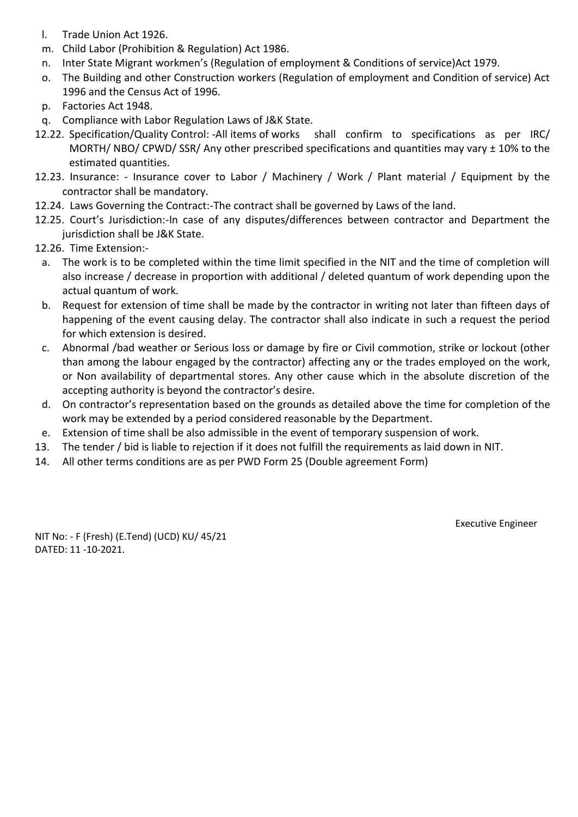- l. Trade Union Act 1926.
- m. Child Labor (Prohibition & Regulation) Act 1986.
- n. Inter State Migrant workmen's (Regulation of employment & Conditions of service)Act 1979.
- o. The Building and other Construction workers (Regulation of employment and Condition of service) Act 1996 and the Census Act of 1996.
- p. Factories Act 1948.
- q. Compliance with Labor Regulation Laws of J&K State.
- 12.22. Specification/Quality Control: -All items of works shall confirm to specifications as per IRC/ MORTH/ NBO/ CPWD/ SSR/ Any other prescribed specifications and quantities may vary ± 10% to the estimated quantities.
- 12.23. Insurance: Insurance cover to Labor / Machinery / Work / Plant material / Equipment by the contractor shall be mandatory.
- 12.24. Laws Governing the Contract:-The contract shall be governed by Laws of the land.
- 12.25. Court's Jurisdiction:-In case of any disputes/differences between contractor and Department the jurisdiction shall be J&K State.
- 12.26. Time Extension:
	- a. The work is to be completed within the time limit specified in the NIT and the time of completion will also increase / decrease in proportion with additional / deleted quantum of work depending upon the actual quantum of work.
	- b. Request for extension of time shall be made by the contractor in writing not later than fifteen days of happening of the event causing delay. The contractor shall also indicate in such a request the period for which extension is desired.
	- c. Abnormal /bad weather or Serious loss or damage by fire or Civil commotion, strike or lockout (other than among the labour engaged by the contractor) affecting any or the trades employed on the work, or Non availability of departmental stores. Any other cause which in the absolute discretion of the accepting authority is beyond the contractor's desire.
	- d. On contractor's representation based on the grounds as detailed above the time for completion of the work may be extended by a period considered reasonable by the Department.
- e. Extension of time shall be also admissible in the event of temporary suspension of work.
- 13. The tender / bid is liable to rejection if it does not fulfill the requirements as laid down in NIT.
- 14. All other terms conditions are as per PWD Form 25 (Double agreement Form)

Executive Engineer

NIT No: - F (Fresh) (E.Tend) (UCD) KU/ 45/21 DATED: 11 -10-2021.